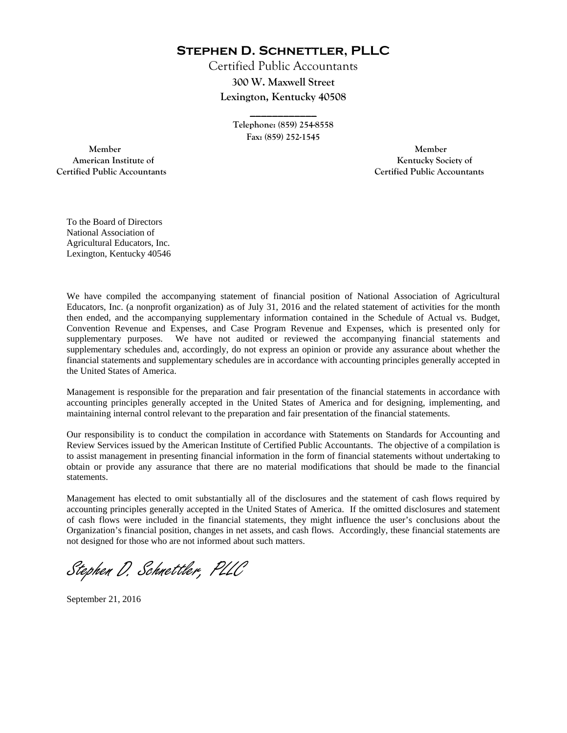**Stephen D. Schnettler, PLLC**

Certified Public Accountants **300 W. Maxwell Street Lexington, Kentucky 40508** 

> **Telephone: (859) 254-8558 Fax: (859) 252-1545**

**\_\_\_\_\_\_\_\_\_\_\_\_** 

 **Member Member Certified Public Accountants Certified Public Accountants** 

American Institute of **Kentucky Society of American Institute of** 

To the Board of Directors National Association of Agricultural Educators, Inc. Lexington, Kentucky 40546

We have compiled the accompanying statement of financial position of National Association of Agricultural Educators, Inc. (a nonprofit organization) as of July 31, 2016 and the related statement of activities for the month then ended, and the accompanying supplementary information contained in the Schedule of Actual vs. Budget, Convention Revenue and Expenses, and Case Program Revenue and Expenses, which is presented only for supplementary purposes. We have not audited or reviewed the accompanying financial statements and supplementary schedules and, accordingly, do not express an opinion or provide any assurance about whether the financial statements and supplementary schedules are in accordance with accounting principles generally accepted in the United States of America.

Management is responsible for the preparation and fair presentation of the financial statements in accordance with accounting principles generally accepted in the United States of America and for designing, implementing, and maintaining internal control relevant to the preparation and fair presentation of the financial statements.

Our responsibility is to conduct the compilation in accordance with Statements on Standards for Accounting and Review Services issued by the American Institute of Certified Public Accountants. The objective of a compilation is to assist management in presenting financial information in the form of financial statements without undertaking to obtain or provide any assurance that there are no material modifications that should be made to the financial statements.

Management has elected to omit substantially all of the disclosures and the statement of cash flows required by accounting principles generally accepted in the United States of America. If the omitted disclosures and statement of cash flows were included in the financial statements, they might influence the user's conclusions about the Organization's financial position, changes in net assets, and cash flows. Accordingly, these financial statements are not designed for those who are not informed about such matters.

Stephen D. Schnettler, PLLC

September 21, 2016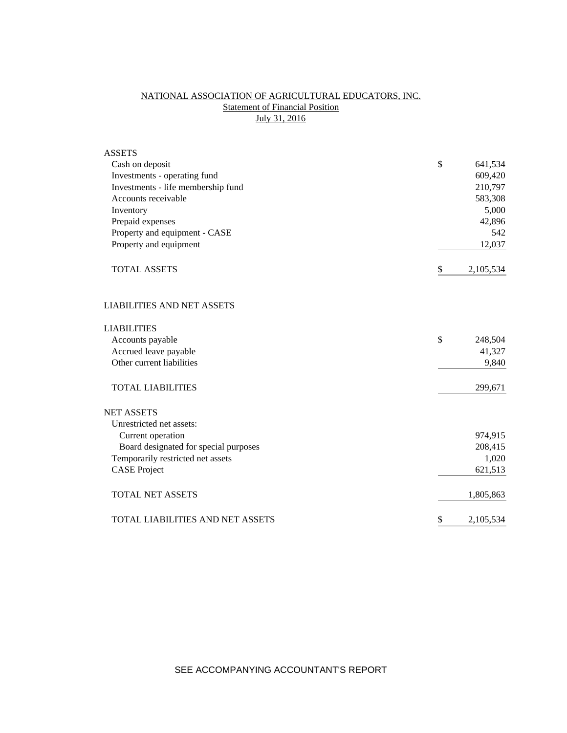## NATIONAL ASSOCIATION OF AGRICULTURAL EDUCATORS, INC. **Statement of Financial Position** July 31, 2016

| <b>ASSETS</b>                           |                 |
|-----------------------------------------|-----------------|
| Cash on deposit                         | \$<br>641,534   |
| Investments - operating fund            | 609,420         |
| Investments - life membership fund      | 210,797         |
| Accounts receivable                     | 583,308         |
| Inventory                               | 5,000           |
| Prepaid expenses                        | 42,896          |
| Property and equipment - CASE           | 542             |
| Property and equipment                  | 12,037          |
| <b>TOTAL ASSETS</b>                     | \$<br>2,105,534 |
| <b>LIABILITIES AND NET ASSETS</b>       |                 |
| <b>LIABILITIES</b>                      |                 |
| Accounts payable                        | \$<br>248,504   |
| Accrued leave payable                   | 41,327          |
| Other current liabilities               | 9,840           |
| <b>TOTAL LIABILITIES</b>                | 299,671         |
| <b>NET ASSETS</b>                       |                 |
| Unrestricted net assets:                |                 |
| Current operation                       | 974,915         |
| Board designated for special purposes   | 208,415         |
| Temporarily restricted net assets       | 1,020           |
| <b>CASE Project</b>                     | 621,513         |
| <b>TOTAL NET ASSETS</b>                 | 1,805,863       |
| <b>TOTAL LIABILITIES AND NET ASSETS</b> | \$<br>2,105,534 |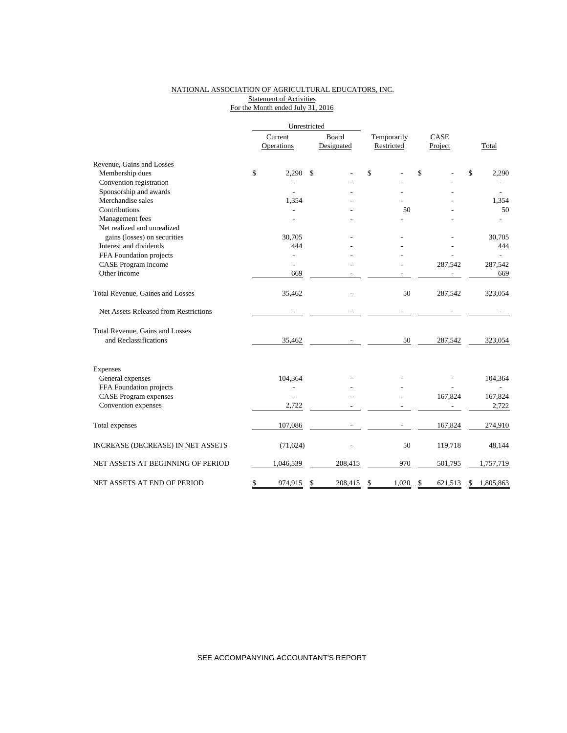### NATIONAL ASSOCIATION OF AGRICULTURAL EDUCATORS, INC. Statement of Activities For the Month ended July 31, 2016

|                                       |                       | Unrestricted  |                     |                           |                 |                 |
|---------------------------------------|-----------------------|---------------|---------------------|---------------------------|-----------------|-----------------|
|                                       | Current<br>Operations |               | Board<br>Designated | Temporarily<br>Restricted | CASE<br>Project | Total           |
| Revenue, Gains and Losses             |                       |               |                     |                           |                 |                 |
| Membership dues                       | \$<br>2,290           | \$            |                     | \$                        | \$              | \$<br>2,290     |
| Convention registration               |                       |               |                     |                           |                 |                 |
| Sponsorship and awards                |                       |               |                     |                           |                 |                 |
| Merchandise sales                     | 1,354                 |               |                     |                           |                 | 1,354           |
| Contributions                         |                       |               |                     | 50                        |                 | 50              |
| Management fees                       |                       |               |                     |                           |                 |                 |
| Net realized and unrealized           |                       |               |                     |                           |                 |                 |
| gains (losses) on securities          | 30.705                |               |                     |                           |                 | 30,705          |
| Interest and dividends                |                       | 444           |                     |                           |                 | 444             |
| FFA Foundation projects               | $\overline{a}$        |               |                     |                           |                 |                 |
| CASE Program income                   | L.                    |               |                     |                           | 287,542         | 287,542         |
| Other income                          |                       | 669           |                     |                           |                 | 669             |
| Total Revenue, Gaines and Losses      | 35,462                |               |                     | 50                        | 287,542         | 323,054         |
| Net Assets Released from Restrictions |                       |               |                     |                           |                 |                 |
| Total Revenue, Gains and Losses       |                       |               |                     |                           |                 |                 |
| and Reclassifications                 | 35,462                |               |                     | 50                        | 287,542         | 323,054         |
| Expenses                              |                       |               |                     |                           |                 |                 |
| General expenses                      | 104,364               |               |                     |                           |                 | 104,364         |
| FFA Foundation projects               |                       |               |                     |                           |                 |                 |
| <b>CASE Program expenses</b>          |                       |               |                     |                           | 167,824         | 167,824         |
| Convention expenses                   | 2,722                 |               |                     |                           |                 | 2,722           |
| Total expenses                        | 107,086               |               |                     |                           | 167,824         | 274,910         |
| INCREASE (DECREASE) IN NET ASSETS     | (71, 624)             |               |                     | 50                        | 119,718         | 48,144          |
| NET ASSETS AT BEGINNING OF PERIOD     | 1,046,539             |               | 208,415             | 970                       | 501,795         | 1,757,719       |
| NET ASSETS AT END OF PERIOD           | \$<br>974,915         | <sup>\$</sup> | 208,415             | \$<br>1,020               | \$<br>621,513   | 1,805,863<br>\$ |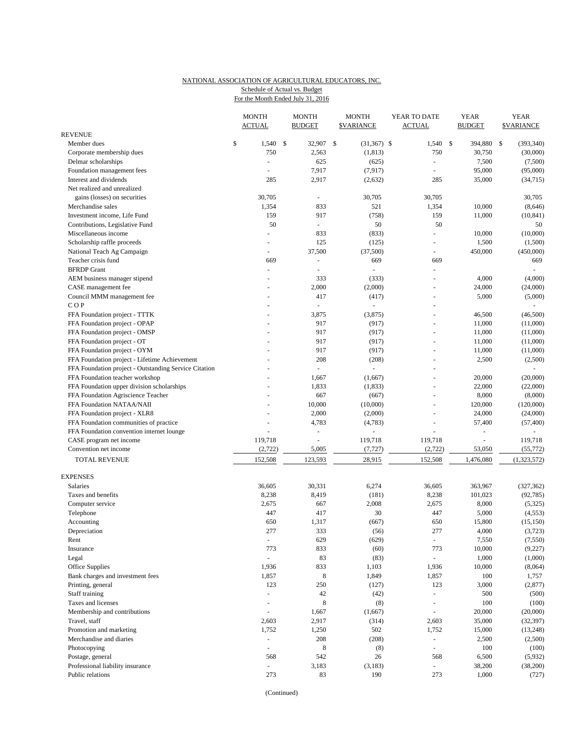# NATIONAL ASSOCIATION OF AGRICULTURAL EDUCATORS, INC.

Schedule of Actual vs. Budget

|                                                       | For the Month Ended July 31, 2016 |                               |  |                               |              |                                   |                               |                              |                                  |  |
|-------------------------------------------------------|-----------------------------------|-------------------------------|--|-------------------------------|--------------|-----------------------------------|-------------------------------|------------------------------|----------------------------------|--|
|                                                       |                                   | <b>MONTH</b><br><b>ACTUAL</b> |  | <b>MONTH</b><br><b>BUDGET</b> |              | <b>MONTH</b><br><b>\$VARIANCE</b> | YEAR TO DATE<br><b>ACTUAL</b> | <b>YEAR</b><br><b>BUDGET</b> | <b>YEAR</b><br><b>\$VARIANCE</b> |  |
| <b>REVENUE</b>                                        |                                   |                               |  |                               |              |                                   |                               |                              |                                  |  |
| Member dues                                           | \$                                | $1,540$ \$                    |  | 32,907                        | $\mathbb{S}$ | $(31,367)$ \$                     | 1,540                         | $\mathcal{S}$<br>394,880     | (393, 340)<br>-\$                |  |
| Corporate membership dues                             |                                   | 750                           |  | 2,563                         |              | (1, 813)                          | 750                           | 30,750                       | (30,000)                         |  |
| Delmar scholarships                                   |                                   | L.                            |  | 625                           |              | (625)                             |                               | 7,500                        | (7,500)                          |  |
| Foundation management fees                            |                                   | ÷                             |  | 7,917                         |              | (7,917)                           |                               | 95,000                       | (95,000)                         |  |
| Interest and dividends                                |                                   | 285                           |  | 2,917                         |              | (2,632)                           | 285                           | 35,000                       | (34, 715)                        |  |
| Net realized and unrealized                           |                                   |                               |  |                               |              |                                   |                               |                              |                                  |  |
| gains (losses) on securities                          |                                   | 30,705                        |  | ÷.                            |              | 30,705                            | 30,705                        |                              | 30,705                           |  |
| Merchandise sales                                     |                                   | 1,354                         |  | 833                           |              | 521                               | 1,354                         | 10,000                       | (8,646)                          |  |
| Investment income, Life Fund                          |                                   | 159                           |  | 917                           |              | (758)                             | 159                           | 11,000                       | (10, 841)                        |  |
| Contributions, Legislative Fund                       |                                   | 50                            |  | u.                            |              | 50                                | 50                            |                              | 50                               |  |
| Miscellaneous income                                  |                                   | L.                            |  | 833                           |              | (833)                             |                               | 10,000                       | (10,000)                         |  |
| Scholarship raffle proceeds                           |                                   | ÷,                            |  | 125                           |              | (125)                             |                               | 1,500                        | (1,500)                          |  |
| National Teach Ag Campaign                            |                                   | ÷,                            |  | 37,500                        |              | (37,500)                          | $\equiv$                      | 450,000                      | (450,000)                        |  |
| Teacher crisis fund                                   |                                   | 669                           |  | ÷,                            |              | 669                               | 669                           |                              | 669                              |  |
| <b>BFRDP</b> Grant                                    |                                   | $\blacksquare$                |  | ÷.                            |              | ÷,                                | $\sim$                        |                              |                                  |  |
| AEM business manager stipend                          |                                   | $\overline{a}$                |  | 333                           |              | (333)                             |                               | 4,000                        | (4,000)                          |  |
| CASE management fee                                   |                                   |                               |  | 2,000                         |              | (2,000)                           |                               | 24,000                       | (24,000)                         |  |
| Council MMM management fee                            |                                   | L.                            |  | 417                           |              | (417)                             |                               | 5,000                        | (5,000)                          |  |
| COP                                                   |                                   | L.                            |  | L.                            |              | $\overline{a}$                    |                               |                              |                                  |  |
| FFA Foundation project - TTTK                         |                                   |                               |  | 3,875                         |              | (3,875)                           |                               | 46,500                       | (46,500)                         |  |
| FFA Foundation project - OPAP                         |                                   |                               |  | 917                           |              | (917)                             |                               | 11,000                       | (11,000)                         |  |
| FFA Foundation project - OMSP                         |                                   |                               |  | 917                           |              | (917)                             | $\overline{a}$                | 11,000                       | (11,000)                         |  |
| FFA Foundation project - OT                           |                                   |                               |  | 917                           |              | (917)                             |                               | 11,000                       | (11,000)                         |  |
| FFA Foundation project - OYM                          |                                   |                               |  | 917                           |              | (917)                             |                               | 11,000                       | (11,000)                         |  |
| FFA Foundation project - Lifetime Achievement         |                                   |                               |  | 208                           |              | (208)                             |                               | 2,500                        | (2,500)                          |  |
| FFA Foundation project - Outstanding Service Citation |                                   |                               |  | L.                            |              |                                   |                               |                              |                                  |  |
| FFA Foundation teacher workshop                       |                                   |                               |  | 1,667                         |              | (1,667)                           |                               | 20,000                       | (20,000)                         |  |
| FFA Foundation upper division scholarships            |                                   |                               |  | 1,833                         |              | (1, 833)                          |                               | 22,000                       | (22,000)                         |  |
| FFA Foundation Agriscience Teacher                    |                                   |                               |  | 667                           |              | (667)                             |                               | 8,000                        | (8,000)                          |  |
| FFA Foundation NATAA/NAII                             |                                   |                               |  | 10,000                        |              | (10,000)                          |                               | 120,000                      | (120,000)                        |  |
| FFA Foundation project - XLR8                         |                                   |                               |  | 2,000                         |              | (2,000)                           |                               | 24,000                       | (24,000)                         |  |
| FFA Foundation communities of practice                |                                   |                               |  | 4,783                         |              | (4,783)                           |                               | 57,400                       | (57, 400)                        |  |
| FFA Foundation convention internet lounge             |                                   |                               |  | L,                            |              |                                   |                               |                              |                                  |  |
| CASE program net income                               |                                   | 119,718                       |  | $\sim$                        |              | 119,718                           | 119,718                       |                              | 119,718                          |  |
| Convention net income                                 |                                   | (2, 722)                      |  | 5,005                         |              | (7, 727)                          | (2,722)                       | 53,050                       | (55, 772)                        |  |

| TOTAL REVENUE                    | 152,508 | 123,593 | 28,915  | 152,508                  | 1,476,080 | (1,323,572) |
|----------------------------------|---------|---------|---------|--------------------------|-----------|-------------|
| EXPENSES                         |         |         |         |                          |           |             |
| <b>Salaries</b>                  | 36,605  | 30,331  | 6,274   | 36,605                   | 363,967   | (327, 362)  |
| Taxes and benefits               | 8,238   | 8,419   | (181)   | 8,238                    | 101,023   | (92, 785)   |
| Computer service                 | 2,675   | 667     | 2,008   | 2,675                    | 8,000     | (5,325)     |
| Telephone                        | 447     | 417     | 30      | 447                      | 5,000     | (4, 553)    |
| Accounting                       | 650     | 1,317   | (667)   | 650                      | 15,800    | (15, 150)   |
| Depreciation                     | 277     | 333     | (56)    | 277                      | 4,000     | (3,723)     |
| Rent                             |         | 629     | (629)   | $\equiv$                 | 7,550     | (7,550)     |
| Insurance                        | 773     | 833     | (60)    | 773                      | 10,000    | (9,227)     |
| Legal                            |         | 83      | (83)    |                          | 1,000     | (1,000)     |
| Office Supplies                  | 1,936   | 833     | 1,103   | 1,936                    | 10,000    | (8,064)     |
| Bank charges and investment fees | 1,857   | 8       | 1,849   | 1,857                    | 100       | 1,757       |
| Printing, general                | 123     | 250     | (127)   | 123                      | 3,000     | (2,877)     |
| Staff training                   |         | 42      | (42)    |                          | 500       | (500)       |
| Taxes and licenses               |         | 8       | (8)     | $\overline{\phantom{a}}$ | 100       | (100)       |
| Membership and contributions     |         | 1,667   | (1,667) |                          | 20,000    | (20,000)    |
| Travel, staff                    | 2,603   | 2,917   | (314)   | 2,603                    | 35,000    | (32, 397)   |
| Promotion and marketing          | 1,752   | 1,250   | 502     | 1,752                    | 15,000    | (13,248)    |
| Merchandise and diaries          |         | 208     | (208)   |                          | 2,500     | (2,500)     |
| Photocopying                     |         | 8       | (8)     |                          | 100       | (100)       |
| Postage, general                 | 568     | 542     | 26      | 568                      | 6,500     | (5,932)     |
| Professional liability insurance |         | 3,183   | (3,183) |                          | 38,200    | (38,200)    |
| Public relations                 | 273     | 83      | 190     | 273                      | 1,000     | (727)       |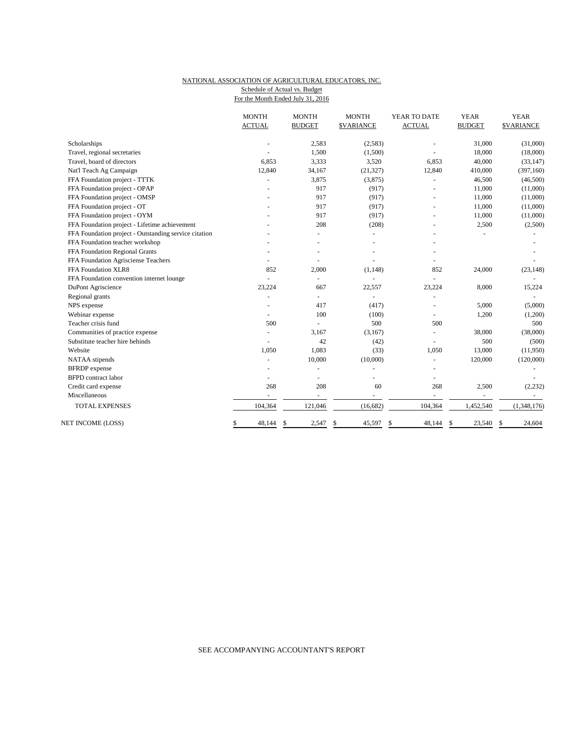### NATIONAL ASSOCIATION OF AGRICULTURAL EDUCATORS, INC. Schedule of Actual vs. Budget

For the Month Ended July 31, 2016

|                                                       | <b>MONTH</b><br><b>ACTUAL</b> | <b>MONTH</b><br><b>BUDGET</b> | <b>MONTH</b><br><b>\$VARIANCE</b> | YEAR TO DATE<br><b>ACTUAL</b> | <b>YEAR</b><br><b>BUDGET</b> | <b>YEAR</b><br><b><i>SVARIANCE</i></b> |
|-------------------------------------------------------|-------------------------------|-------------------------------|-----------------------------------|-------------------------------|------------------------------|----------------------------------------|
| Scholarships                                          |                               | 2,583                         | (2, 583)                          |                               | 31,000                       | (31,000)                               |
| Travel, regional secretaries                          |                               | 1,500                         | (1,500)                           |                               | 18,000                       | (18,000)                               |
| Travel, board of directors                            | 6,853                         | 3,333                         | 3,520                             | 6,853                         | 40,000                       | (33, 147)                              |
| Nat'l Teach Ag Campaign                               | 12,840                        | 34,167                        | (21, 327)                         | 12,840                        | 410,000                      | (397, 160)                             |
| FFA Foundation project - TTTK                         | $\blacksquare$                | 3,875                         | (3,875)                           | $\equiv$                      | 46,500                       | (46,500)                               |
| FFA Foundation project - OPAP                         |                               | 917                           | (917)                             |                               | 11,000                       | (11,000)                               |
| FFA Foundation project - OMSP                         |                               | 917                           | (917)                             |                               | 11,000                       | (11,000)                               |
| FFA Foundation project - OT                           |                               | 917                           | (917)                             |                               | 11,000                       | (11,000)                               |
| FFA Foundation project - OYM                          |                               | 917                           | (917)                             |                               | 11,000                       | (11,000)                               |
| FFA Foundation project - Lifetime achievement         |                               | 208                           | (208)                             |                               | 2,500                        | (2,500)                                |
| FFA Foundation project - Outstanding service citation |                               |                               |                                   |                               |                              |                                        |
| FFA Foundation teacher workshop                       |                               |                               |                                   |                               |                              |                                        |
| FFA Foundation Regional Grants                        |                               |                               |                                   |                               |                              |                                        |
| FFA Foundation Agrisciense Teachers                   | ÷                             |                               |                                   |                               |                              |                                        |
| FFA Foundation XLR8                                   | 852                           | 2,000                         | (1, 148)                          | 852                           | 24,000                       | (23, 148)                              |
| FFA Foundation convention internet lounge             | L.                            | ä,                            |                                   |                               |                              |                                        |
| DuPont Agriscience                                    | 23,224                        | 667                           | 22,557                            | 23,224                        | 8,000                        | 15,224                                 |
| Regional grants                                       |                               | $\overline{\phantom{a}}$      |                                   | $\sim$                        |                              |                                        |
| NPS expense                                           |                               | 417                           | (417)                             |                               | 5,000                        | (5,000)                                |
| Webinar expense                                       | ÷.                            | 100                           | (100)                             |                               | 1,200                        | (1,200)                                |
| Teacher crisis fund                                   | 500                           |                               | 500                               | 500                           |                              | 500                                    |
| Communities of practice expense                       | $\overline{a}$                | 3,167                         | (3,167)                           |                               | 38,000                       | (38,000)                               |
| Substitute teacher hire behinds                       | $\blacksquare$                | 42                            | (42)                              | $\sim$                        | 500                          | (500)                                  |
| Website                                               | 1,050                         | 1,083                         | (33)                              | 1,050                         | 13,000                       | (11,950)                               |
| NATAA stipends                                        | ÷.                            | 10,000                        | (10,000)                          | ÷.                            | 120,000                      | (120,000)                              |
| <b>BFRDP</b> expense                                  |                               |                               |                                   |                               |                              |                                        |
| <b>BFPD</b> contract labor                            |                               |                               |                                   |                               |                              |                                        |
| Credit card expense                                   | 268                           | 208                           | 60                                | 268                           | 2,500                        | (2, 232)                               |
| Miscellaneous                                         | $\overline{a}$                | $\overline{a}$                | $\sim$                            | $\overline{a}$                | $\overline{\phantom{a}}$     |                                        |
| TOTAL EXPENSES                                        | 104,364                       | 121,046                       | (16, 682)                         | 104,364                       | 1,452,540                    | (1,348,176)                            |
| NET INCOME (LOSS)                                     | 48,144<br>\$                  | 2,547<br>\$                   | \$<br>45,597                      | 48,144<br>\$                  | \$<br>23,540                 | \$<br>24,604                           |

### SEE ACCOMPANYING ACCOUNTANT'S REPORT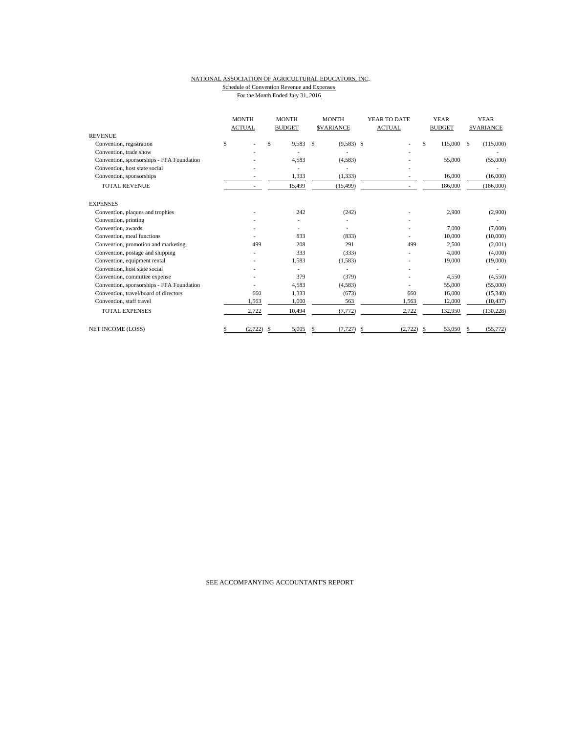#### NATIONAL ASSOCIATION OF AGRICULTURAL EDUCATORS, INC. Schedule of Convention Revenue and Expenses For the Month Ended July 31, 2016

|                                           | <b>MONTH</b><br><b>ACTUAL</b> |          | <b>MONTH</b><br><b>BUDGET</b> | <b>SVARIANCE</b> |              | YEAR TO DATE<br><b>ACTUAL</b> |    | <b>YEAR</b><br><b>BUDGET</b> |  | <b>YEAR</b><br><b>SVARIANCE</b> |  |
|-------------------------------------------|-------------------------------|----------|-------------------------------|------------------|--------------|-------------------------------|----|------------------------------|--|---------------------------------|--|
| <b>REVENUE</b>                            |                               |          |                               |                  |              |                               |    |                              |  |                                 |  |
| Convention, registration                  | \$                            |          | \$<br>9,583                   | $\mathbf{s}$     | $(9,583)$ \$ |                               | \$ | 115,000 \$                   |  | (115,000)                       |  |
| Convention, trade show                    |                               |          |                               |                  |              |                               |    |                              |  |                                 |  |
| Convention, sponsorships - FFA Foundation |                               |          | 4,583                         |                  | (4,583)      |                               |    | 55,000                       |  | (55,000)                        |  |
| Convention, host state social             |                               |          |                               |                  |              |                               |    |                              |  |                                 |  |
| Convention, sponsorships                  |                               |          | 1,333                         |                  | (1, 333)     |                               |    | 16,000                       |  | (16,000)                        |  |
| <b>TOTAL REVENUE</b>                      |                               |          | 15,499                        |                  | (15, 499)    |                               |    | 186,000                      |  | (186,000)                       |  |
| <b>EXPENSES</b>                           |                               |          |                               |                  |              |                               |    |                              |  |                                 |  |
| Convention, plaques and trophies          |                               |          | 242                           |                  | (242)        |                               |    | 2,900                        |  | (2,900)                         |  |
| Convention, printing                      |                               |          |                               |                  |              |                               |    |                              |  |                                 |  |
| Convention, awards                        |                               |          |                               |                  |              |                               |    | 7,000                        |  | (7,000)                         |  |
| Convention, meal functions                |                               |          | 833                           |                  | (833)        |                               |    | 10,000                       |  | (10,000)                        |  |
| Convention, promotion and marketing       |                               | 499      | 208                           |                  | 291          | 499                           |    | 2,500                        |  | (2,001)                         |  |
| Convention, postage and shipping          |                               |          | 333                           |                  | (333)        |                               |    | 4,000                        |  | (4,000)                         |  |
| Convention, equipment rental              |                               |          | 1,583                         |                  | (1,583)      |                               |    | 19,000                       |  | (19,000)                        |  |
| Convention, host state social             |                               |          |                               |                  |              |                               |    |                              |  |                                 |  |
| Convention, committee expense             |                               |          | 379                           |                  | (379)        |                               |    | 4,550                        |  | (4,550)                         |  |
| Convention, sponsorships - FFA Foundation |                               |          | 4,583                         |                  | (4,583)      |                               |    | 55,000                       |  | (55,000)                        |  |
| Convention, travel/board of directors     |                               | 660      | 1,333                         |                  | (673)        | 660                           |    | 16,000                       |  | (15,340)                        |  |
| Convention, staff travel                  |                               | 1,563    | 1,000                         |                  | 563          | 1,563                         |    | 12,000                       |  | (10, 437)                       |  |
| <b>TOTAL EXPENSES</b>                     |                               | 2,722    | 10,494                        |                  | (7, 772)     | 2,722                         |    | 132,950                      |  | (130, 228)                      |  |
| NET INCOME (LOSS)                         | S                             | (2, 722) | 5,005<br>S                    | \$               | (7, 727)     | (2,722)<br>\$                 | \$ | 53,050                       |  | (55, 772)                       |  |

SEE ACCOMPANYING ACCOUNTANT'S REPORT